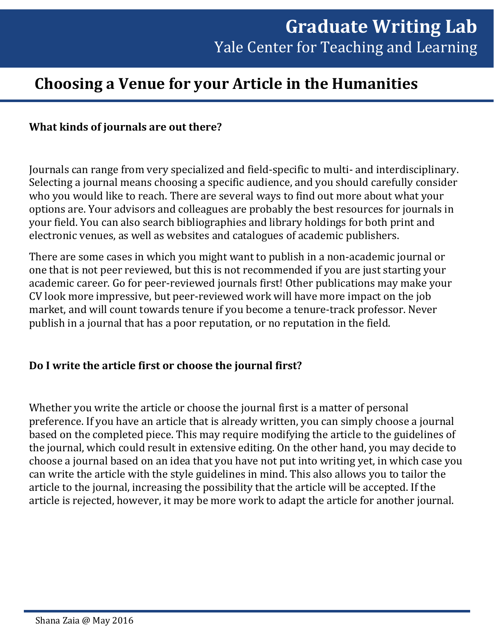# **Choosing a Venue for your Article in the Humanities**

#### **What kinds of journals are out there?**

Journals can range from very specialized and field-specific to multi- and interdisciplinary. Selecting a journal means choosing a specific audience, and you should carefully consider who you would like to reach. There are several ways to find out more about what your options are. Your advisors and colleagues are probably the best resources for journals in your field. You can also search bibliographies and library holdings for both print and electronic venues, as well as websites and catalogues of academic publishers.

There are some cases in which you might want to publish in a non-academic journal or one that is not peer reviewed, but this is not recommended if you are just starting your academic career. Go for peer-reviewed journals first! Other publications may make your CV look more impressive, but peer-reviewed work will have more impact on the job market, and will count towards tenure if you become a tenure-track professor. Never publish in a journal that has a poor reputation, or no reputation in the field.

#### **Do I write the article first or choose the journal first?**

Whether you write the article or choose the journal first is a matter of personal preference. If you have an article that is already written, you can simply choose a journal based on the completed piece. This may require modifying the article to the guidelines of the journal, which could result in extensive editing. On the other hand, you may decide to choose a journal based on an idea that you have not put into writing yet, in which case you can write the article with the style guidelines in mind. This also allows you to tailor the article to the journal, increasing the possibility that the article will be accepted. If the article is rejected, however, it may be more work to adapt the article for another journal.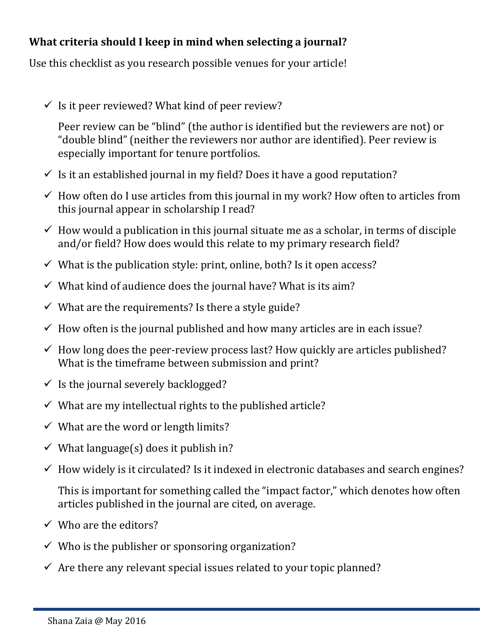## **What criteria should I keep in mind when selecting a journal?**

Use this checklist as you research possible venues for your article!

 $\checkmark$  Is it peer reviewed? What kind of peer review?

Peer review can be "blind" (the author is identified but the reviewers are not) or "double blind" (neither the reviewers nor author are identified). Peer review is especially important for tenure portfolios.

- $\checkmark$  Is it an established journal in my field? Does it have a good reputation?
- $\checkmark$  How often do I use articles from this journal in my work? How often to articles from this journal appear in scholarship I read?
- $\checkmark$  How would a publication in this journal situate me as a scholar, in terms of disciple and/or field? How does would this relate to my primary research field?
- $\checkmark$  What is the publication style: print, online, both? Is it open access?
- $\checkmark$  What kind of audience does the journal have? What is its aim?
- $\checkmark$  What are the requirements? Is there a style guide?
- $\checkmark$  How often is the journal published and how many articles are in each issue?
- $\checkmark$  How long does the peer-review process last? How quickly are articles published? What is the timeframe between submission and print?
- $\checkmark$  Is the journal severely backlogged?
- $\checkmark$  What are my intellectual rights to the published article?
- $\checkmark$  What are the word or length limits?
- $\checkmark$  What language(s) does it publish in?
- $\checkmark$  How widely is it circulated? Is it indexed in electronic databases and search engines?

This is important for something called the "impact factor," which denotes how often articles published in the journal are cited, on average.

- $\checkmark$  Who are the editors?
- $\checkmark$  Who is the publisher or sponsoring organization?
- $\checkmark$  Are there any relevant special issues related to your topic planned?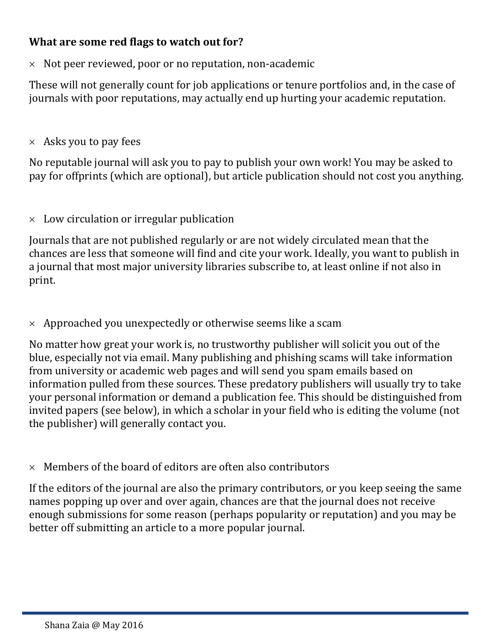### **What are some red flags to watch out for?**

 $\times$  Not peer reviewed, poor or no reputation, non-academic

These will not generally count for job applications or tenure portfolios and, in the case of journals with poor reputations, may actually end up hurting your academic reputation.

 $\times$  Asks you to pay fees

No reputable journal will ask you to pay to publish your own work! You may be asked to pay for offprints (which are optional), but article publication should not cost you anything.

#### $\times$  Low circulation or irregular publication

Journals that are not published regularly or are not widely circulated mean that the chances are less that someone will find and cite your work. Ideally, you want to publish in a journal that most major university libraries subscribe to, at least online if not also in print.

 $\times$  Approached you unexpectedly or otherwise seems like a scam

No matter how great your work is, no trustworthy publisher will solicit you out of the blue, especially not via email. Many publishing and phishing scams will take information from university or academic web pages and will send you spam emails based on information pulled from these sources. These predatory publishers will usually try to take your personal information or demand a publication fee. This should be distinguished from invited papers (see below), in which a scholar in your field who is editing the volume (not the publisher) will generally contact you.

 $\times$  Members of the board of editors are often also contributors

If the editors of the journal are also the primary contributors, or you keep seeing the same names popping up over and over again, chances are that the journal does not receive enough submissions for some reason (perhaps popularity or reputation) and you may be better off submitting an article to a more popular journal.